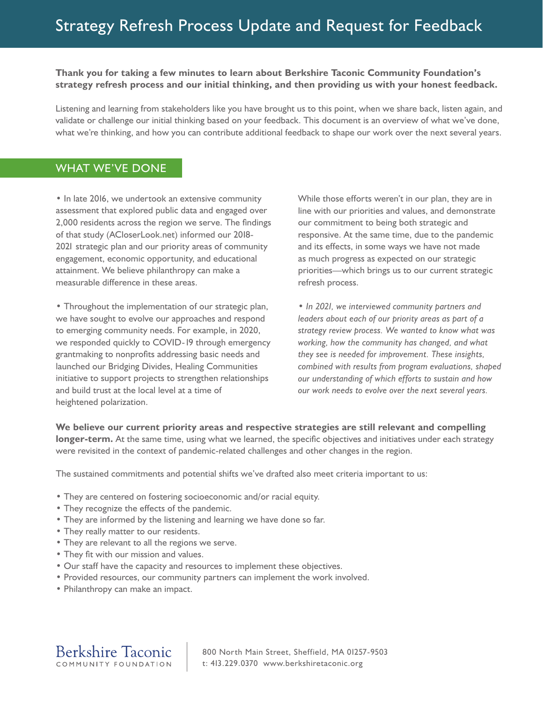# **Thank you for taking a few minutes to learn about Berkshire Taconic Community Foundation's strategy refresh process and our initial thinking, and then providing us with your honest feedback.**

Listening and learning from stakeholders like you have brought us to this point, when we share back, listen again, and validate or challenge our initial thinking based on your feedback. This document is an overview of what we've done, what we're thinking, and how you can contribute additional feedback to shape our work over the next several years.

# WHAT WE'VE DONE

• In late 2016, we undertook an extensive community assessment that explored public data and engaged over 2,000 residents across the region we serve. The findings of that study (ACloserLook.net) informed our 2018- 2021 strategic plan and our priority areas of community engagement, economic opportunity, and educational attainment. We believe philanthropy can make a measurable difference in these areas.

• Throughout the implementation of our strategic plan, we have sought to evolve our approaches and respond to emerging community needs. For example, in 2020, we responded quickly to COVID-19 through emergency grantmaking to nonprofits addressing basic needs and launched our Bridging Divides, Healing Communities initiative to support projects to strengthen relationships and build trust at the local level at a time of heightened polarization.

While those efforts weren't in our plan, they are in line with our priorities and values, and demonstrate our commitment to being both strategic and responsive. At the same time, due to the pandemic and its effects, in some ways we have not made as much progress as expected on our strategic priorities—which brings us to our current strategic refresh process.

• *In 2021, we interviewed community partners and leaders about each of our priority areas as part of a strategy review process. We wanted to know what was working, how the community has changed, and what they see is needed for improvement. These insights, combined with results from program evaluations, shaped our understanding of which efforts to sustain and how our work needs to evolve over the next several years.*

**We believe our current priority areas and respective strategies are still relevant and compelling longer-term.** At the same time, using what we learned, the specific objectives and initiatives under each strategy were revisited in the context of pandemic-related challenges and other changes in the region.

The sustained commitments and potential shifts we've drafted also meet criteria important to us:

- They are centered on fostering socioeconomic and/or racial equity.
- They recognize the effects of the pandemic.
- They are informed by the listening and learning we have done so far.
- They really matter to our residents.
- They are relevant to all the regions we serve.
- They fit with our mission and values.
- Our staff have the capacity and resources to implement these objectives.
- Provided resources, our community partners can implement the work involved.
- Philanthropy can make an impact.

**Berkshire Taconic** COMMUNITY FOUNDATION

800 North Main Street, Sheffield, MA 01257-9503 t: 413.229.0370 www.berkshiretaconic.org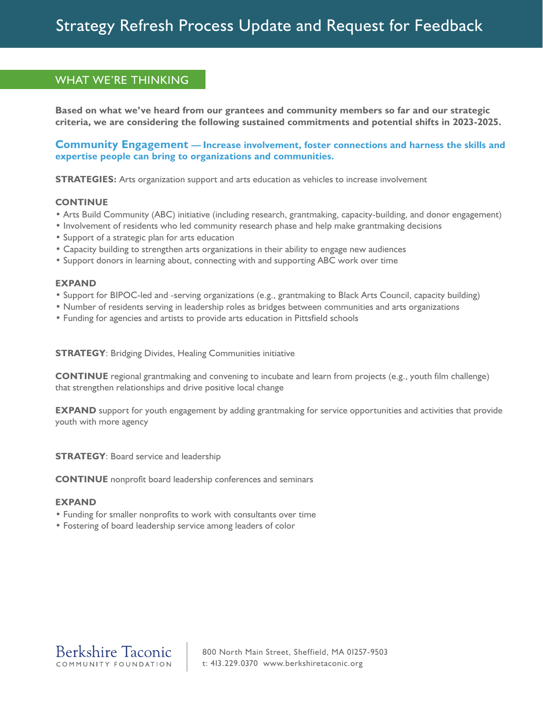# WHAT WE'RE THINKING

Based on what we've heard from our grantees and community members so far and our strategic criteria, we are considering the following sustained commitments and potential shifts in 2023-2025.

## Community Engagement - Increase involvement, foster connections and harness the skills and expertise people can bring to organizations and communities.

**STRATEGIES:** Arts organization support and arts education as vehicles to increase involvement

#### **CONTINUE**

- Arts Build Community (ABC) initiative (including research, grantmaking, capacity-building, and donor engagement)
- Involvement of residents who led community research phase and help make grantmaking decisions
- Support of a strategic plan for arts education
- Capacity building to strengthen arts organizations in their ability to engage new audiences
- Support donors in learning about, connecting with and supporting ABC work over time

#### **EXPAND**

- Support for BIPOC-led and -serving organizations (e.g., grantmaking to Black Arts Council, capacity building)
- Number of residents serving in leadership roles as bridges between communities and arts organizations
- Funding for agencies and artists to provide arts education in Pittsfield schools

**STRATEGY: Bridging Divides, Healing Communities initiative** 

**CONTINUE** regional grantmaking and convening to incubate and learn from projects (e.g., youth film challenge) that strengthen relationships and drive positive local change

**EXPAND** support for youth engagement by adding grantmaking for service opportunities and activities that provide youth with more agency

**STRATEGY: Board service and leadership** 

**CONTINUE** nonprofit board leadership conferences and seminars

#### **EXPAND**

- Funding for smaller nonprofits to work with consultants over time
- Fostering of board leadership service among leaders of color